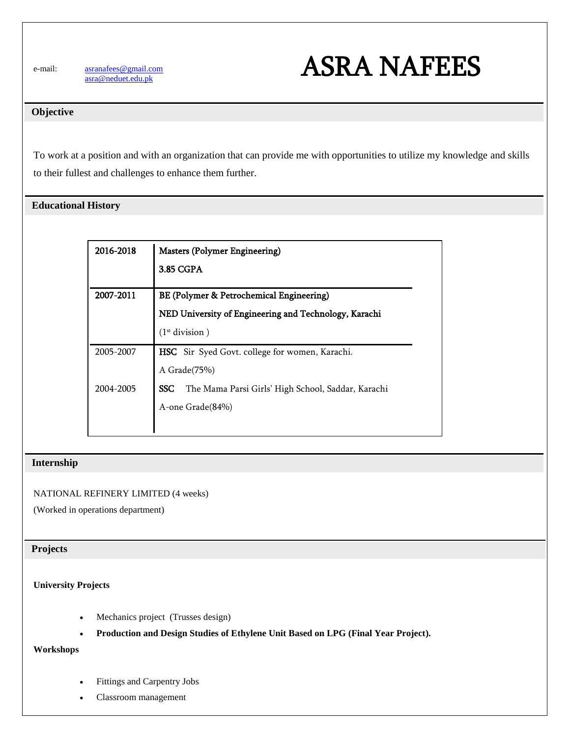e-mail: [asranafees@gmail.com](mailto:asranafees@gmail.com) [asra@neduet.edu.pk](mailto:asra@neduet.edu.pk)



## **Objective**

To work at a position and with an organization that can provide me with opportunities to utilize my knowledge and skills to their fullest and challenges to enhance them further.

# **Educational History**

| 2016-2018 | <b>Masters (Polymer Engineering)</b>                             |
|-----------|------------------------------------------------------------------|
|           | 3.85 CGPA                                                        |
| 2007-2011 | BE (Polymer & Petrochemical Engineering)                         |
|           | NED University of Engineering and Technology, Karachi            |
|           | (1 <sup>st</sup> division)                                       |
| 2005-2007 | HSC Sir Syed Govt. college for women, Karachi.                   |
|           | A Grade(75%)                                                     |
| 2004-2005 | <b>SSC</b><br>The Mama Parsi Girls' High School, Saddar, Karachi |
|           | A-one Grade(84%)                                                 |
|           |                                                                  |

## **Internship**

## NATIONAL REFINERY LIMITED (4 weeks)

(Worked in operations department)

## **Projects**

## **University Projects**

- Mechanics project (Trusses design)
- **Production and Design Studies of Ethylene Unit Based on LPG (Final Year Project).**

#### **Workshops**

- Fittings and Carpentry Jobs
- Classroom management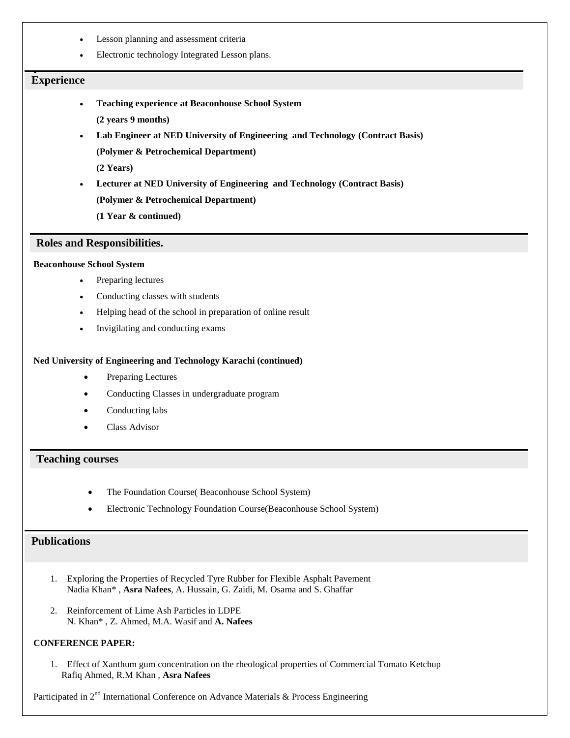- Lesson planning and assessment criteria
- Electronic technology Integrated Lesson plans.

# $\overline{\phantom{0}}$  **Experience**

- **Teaching experience at Beaconhouse School System**
	- **(2 years 9 months)**
- **Lab Engineer at NED University of Engineering and Technology (Contract Basis)**
	- **(Polymer & Petrochemical Department)**

**(2 Years)**

**Lecturer at NED University of Engineering and Technology (Contract Basis)**

**(Polymer & Petrochemical Department)**

**(1 Year & continued)**

#### **Roles and Responsibilities.**

## **Beaconhouse School System**

- Preparing lectures
- Conducting classes with students
- Helping head of the school in preparation of online result
- Invigilating and conducting exams

#### **Ned University of Engineering and Technology Karachi (continued)**

- Preparing Lectures
- Conducting Classes in undergraduate program
- Conducting labs
- Class Advisor

#### **Teaching courses**

- The Foundation Course( Beaconhouse School System)
- Electronic Technology Foundation Course(Beaconhouse School System)

## **Publications**

- 1. Exploring the Properties of Recycled Tyre Rubber for Flexible Asphalt Pavement Nadia Khan\* , **Asra Nafees**, A. Hussain, G. Zaidi, M. Osama and S. Ghaffar
- 2. Reinforcement of Lime Ash Particles in LDPE N. Khan\* , Z. Ahmed, M.A. Wasif and **A. Nafees**

#### **CONFERENCE PAPER:**

1. Effect of Xanthum gum concentration on the rheological properties of Commercial Tomato Ketchup Rafiq Ahmed, R.M Khan , **Asra Nafees**

Participated in 2<sup>nd</sup> International Conference on Advance Materials & Process Engineering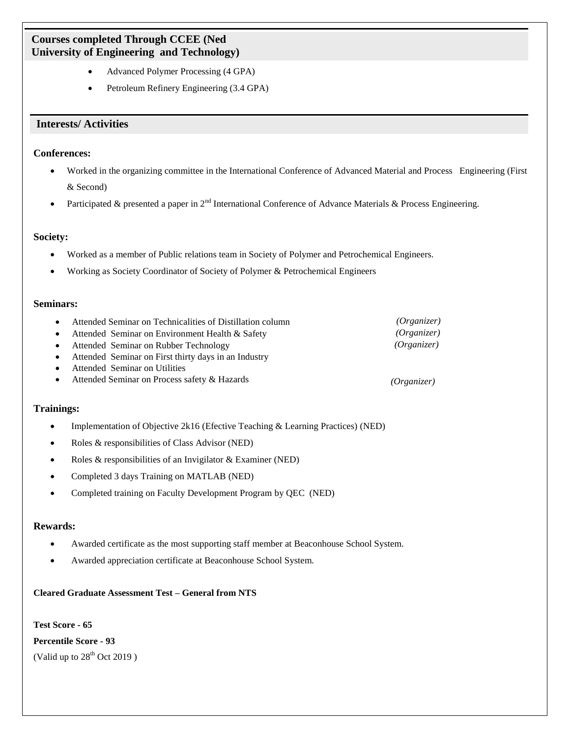# **Courses completed Through CCEE (Ned University of Engineering and Technology)**

- Advanced Polymer Processing (4 GPA)
- Petroleum Refinery Engineering (3.4 GPA)

# **Interests/ Activities**

## **Conferences:**

- Worked in the organizing committee in the International Conference of Advanced Material and Process Engineering (First & Second)
- Participated & presented a paper in 2<sup>nd</sup> International Conference of Advance Materials & Process Engineering.

## **Society:**

- Worked as a member of Public relations team in Society of Polymer and Petrochemical Engineers.
- Working as Society Coordinator of Society of Polymer & Petrochemical Engineers

## **Seminars:**

| $\bullet$ | Attended Seminar on Technicalities of Distillation column | (Organizer) |
|-----------|-----------------------------------------------------------|-------------|
|           | • Attended Seminar on Environment Health $\&$ Safety      | (Organizer) |
|           | • Attended Seminar on Rubber Technology                   | (Organizer) |
|           | • Attended Seminar on First thirty days in an Industry    |             |
|           | • Attended Seminar on Utilities                           |             |
|           | • Attended Seminar on Process safety $& Hazards$          | (Organizer) |

#### **Trainings:**

- Implementation of Objective 2k16 (Efective Teaching & Learning Practices) (NED)
- Roles & responsibilities of Class Advisor (NED)
- Roles & responsibilities of an Invigilator & Examiner (NED)
- Completed 3 days Training on MATLAB (NED)
- Completed training on Faculty Development Program by QEC (NED)

#### **Rewards:**

- Awarded certificate as the most supporting staff member at Beaconhouse School System.
- Awarded appreciation certificate at Beaconhouse School System.

#### **Cleared Graduate Assessment Test – General from NTS**

**Test Score - 65 Percentile Score - 93** (Valid up to  $28<sup>th</sup>$  Oct 2019)